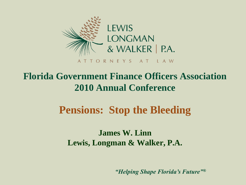

### **Florida Government Finance Officers Association 2010 Annual Conference**

### **Pensions: Stop the Bleeding**

**James W. Linn Lewis, Longman & Walker, P.A.**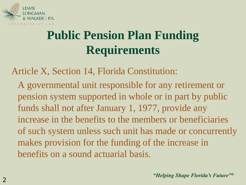

# **Public Pension Plan Funding Requirements**

Article X, Section 14, Florida Constitution:

A governmental unit responsible for any retirement or pension system supported in whole or in part by public funds shall not after January 1, 1977, provide any increase in the benefits to the members or beneficiaries of such system unless such unit has made or concurrently makes provision for the funding of the increase in benefits on a sound actuarial basis.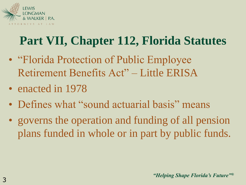

- "Florida Protection of Public Employee Retirement Benefits Act" – Little ERISA
- enacted in 1978
- Defines what "sound actuarial basis" means
- governs the operation and funding of all pension plans funded in whole or in part by public funds.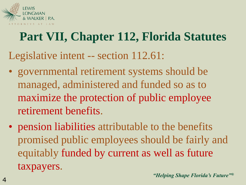

Legislative intent -- section 112.61:

- governmental retirement systems should be managed, administered and funded so as to maximize the protection of public employee retirement benefits.
- pension liabilities attributable to the benefits promised public employees should be fairly and equitably funded by current as well as future taxpayers.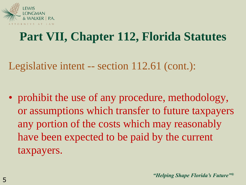

Legislative intent -- section 112.61 (cont.):

• prohibit the use of any procedure, methodology, or assumptions which transfer to future taxpayers any portion of the costs which may reasonably have been expected to be paid by the current taxpayers.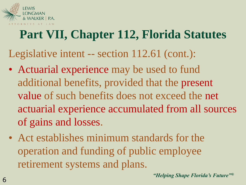

Legislative intent -- section 112.61 (cont.):

- Actuarial experience may be used to fund additional benefits, provided that the present value of such benefits does not exceed the net actuarial experience accumulated from all sources of gains and losses.
- Act establishes minimum standards for the operation and funding of public employee retirement systems and plans.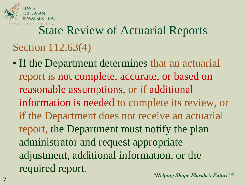

# State Review of Actuarial Reports Section 112.63(4)

• If the Department determines that an actuarial report is not complete, accurate, or based on reasonable assumptions, or if additional information is needed to complete its review, or if the Department does not receive an actuarial report, the Department must notify the plan administrator and request appropriate adjustment, additional information, or the required report.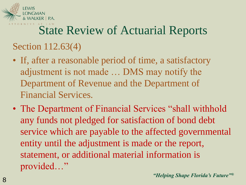

# State Review of Actuarial Reports Section 112.63(4)

- If, after a reasonable period of time, a satisfactory adjustment is not made … DMS may notify the Department of Revenue and the Department of Financial Services.
- The Department of Financial Services "shall withhold any funds not pledged for satisfaction of bond debt service which are payable to the affected governmental entity until the adjustment is made or the report, statement, or additional material information is provided…"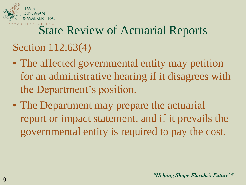

# State Review of Actuarial Reports Section 112.63(4)

- The affected governmental entity may petition for an administrative hearing if it disagrees with the Department's position.
- The Department may prepare the actuarial report or impact statement, and if it prevails the governmental entity is required to pay the cost.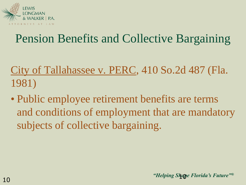

### Pension Benefits and Collective Bargaining

- City of Tallahassee v. PERC, 410 So.2d 487 (Fla. 1981)
- Public employee retirement benefits are terms and conditions of employment that are mandatory subjects of collective bargaining.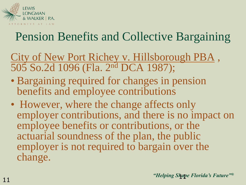

### Pension Benefits and Collective Bargaining

- City of New Port Richey v. Hillsborough PBA , 505 So.2d 1096 (Fla. 2nd DCA 1987);
- Bargaining required for changes in pension benefits and employee contributions
- However, where the change affects only employer contributions, and there is no impact on employee benefits or contributions, or the actuarial soundness of the plan, the public employer is not required to bargain over the change.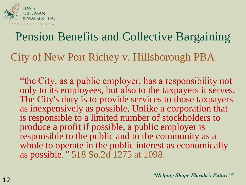

# Pension Benefits and Collective Bargaining

#### City of New Port Richey v. Hillsborough PBA

"the City, as a public employer, has a responsibility not only to its employees, but also to the taxpayers it serves. The City's duty is to provide services to those taxpayers as inexpensively as possible. Unlike a corporation that is responsible to a limited number of stockholders to produce a profit if possible, a public employer is responsible to the public and to the community as a whole to operate in the public interest as economically as possible*."* 518 So.2d 1275 at 1098.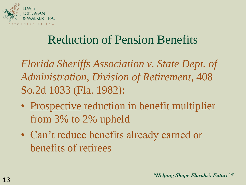

### Reduction of Pension Benefits

*Florida Sheriffs Association v. State Dept. of Administration, Division of Retirement*, 408 So.2d 1033 (Fla. 1982):

- Prospective reduction in benefit multiplier from 3% to 2% upheld
- Can't reduce benefits already earned or benefits of retirees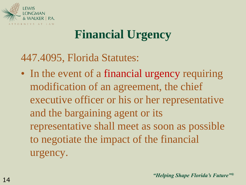

## **Financial Urgency**

447.4095, Florida Statutes:

• In the event of a financial urgency requiring modification of an agreement, the chief executive officer or his or her representative and the bargaining agent or its representative shall meet as soon as possible to negotiate the impact of the financial urgency.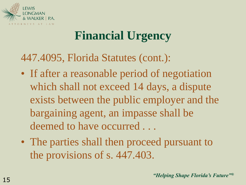

## **Financial Urgency**

447.4095, Florida Statutes (cont.):

- If after a reasonable period of negotiation which shall not exceed 14 days, a dispute exists between the public employer and the bargaining agent, an impasse shall be deemed to have occurred ...
- The parties shall then proceed pursuant to the provisions of s. 447.403.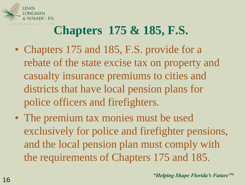

- Chapters 175 and 185, F.S. provide for a rebate of the state excise tax on property and casualty insurance premiums to cities and districts that have local pension plans for police officers and firefighters.
- The premium tax monies must be used exclusively for police and firefighter pensions, and the local pension plan must comply with the requirements of Chapters 175 and 185.

.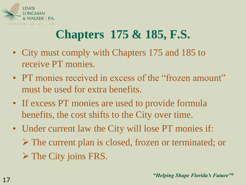

- City must comply with Chapters 175 and 185 to receive PT monies.
- PT monies received in excess of the "frozen amount" must be used for extra benefits.
- If excess PT monies are used to provide formula benefits, the cost shifts to the City over time.
- Under current law the City will lose PT monies if: The current plan is closed, frozen or terminated; or **► The City joins FRS.**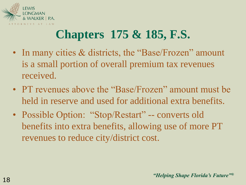

- In many cities & districts, the "Base/Frozen" amount is a small portion of overall premium tax revenues received.
- PT revenues above the "Base/Frozen" amount must be held in reserve and used for additional extra benefits.
- Possible Option: "Stop/Restart" -- converts old benefits into extra benefits, allowing use of more PT revenues to reduce city/district cost.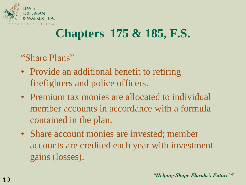

#### "Share Plans"

- Provide an additional benefit to retiring firefighters and police officers.
- Premium tax monies are allocated to individual member accounts in accordance with a formula contained in the plan.
- Share account monies are invested; member accounts are credited each year with investment gains (losses).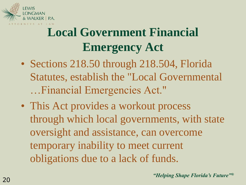

- Sections 218.50 through 218.504, Florida Statutes, establish the "Local Governmental …Financial Emergencies Act."
- This Act provides a workout process through which local governments, with state oversight and assistance, can overcome temporary inability to meet current obligations due to a lack of funds.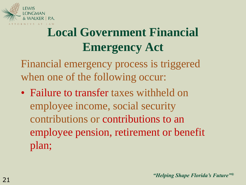

Financial emergency process is triggered when one of the following occur:

• Failure to transfer taxes withheld on employee income, social security contributions or contributions to an employee pension, retirement or benefit plan;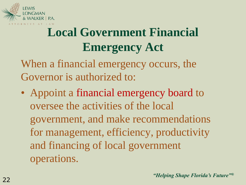

When a financial emergency occurs, the Governor is authorized to:

• Appoint a financial emergency board to oversee the activities of the local government, and make recommendations for management, efficiency, productivity and financing of local government operations.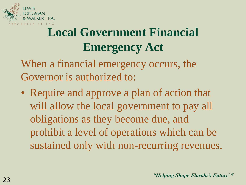

When a financial emergency occurs, the Governor is authorized to:

• Require and approve a plan of action that will allow the local government to pay all obligations as they become due, and prohibit a level of operations which can be sustained only with non-recurring revenues.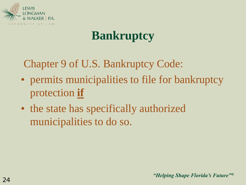

Chapter 9 of U.S. Bankruptcy Code:

- permits municipalities to file for bankruptcy protection **if**
- the state has specifically authorized municipalities to do so.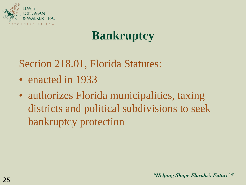

Section 218.01, Florida Statutes:

- enacted in 1933
- authorizes Florida municipalities, taxing districts and political subdivisions to seek bankruptcy protection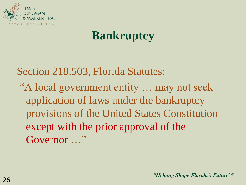

Section 218.503, Florida Statutes:

"A local government entity … may not seek application of laws under the bankruptcy provisions of the United States Constitution except with the prior approval of the Governor ..."